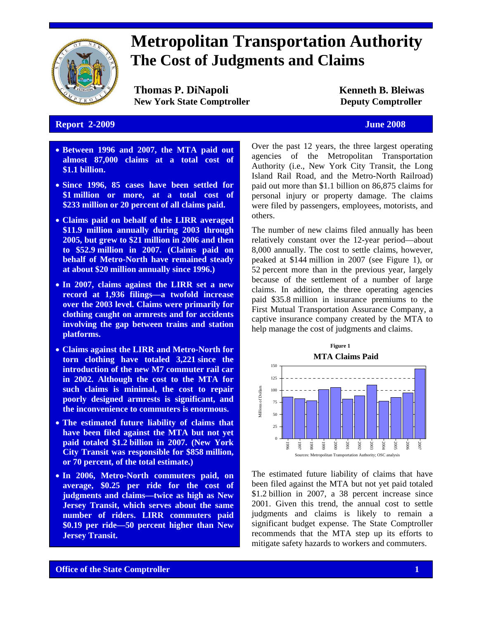

# **Metropolitan Transportation Authority The Cost of Judgments and Claims**

**Thomas P. DiNapoli Kenneth B. Bleiwas New York State Comptroller Deputy Comptroller** 

### **Report 2-2009 June 2008**

- **Between 1996 and 2007, the MTA paid out almost 87,000 claims at a total cost of \$1.1 billion.**
- **Since 1996, 85 cases have been settled for \$1 million or more, at a total cost of \$233 million or 20 percent of all claims paid.**
- **Claims paid on behalf of the LIRR averaged \$11.9 million annually during 2003 through 2005, but grew to \$21 million in 2006 and then to \$52.9 million in 2007. (Claims paid on behalf of Metro-North have remained steady at about \$20 million annually since 1996.)**
- **In 2007, claims against the LIRR set a new record at 1,936 filings—a twofold increase over the 2003 level. Claims were primarily for clothing caught on armrests and for accidents involving the gap between trains and station platforms.**
- **Claims against the LIRR and Metro-North for torn clothing have totaled 3,221 since the introduction of the new M7 commuter rail car in 2002. Although the cost to the MTA for such claims is minimal, the cost to repair poorly designed armrests is significant, and the inconvenience to commuters is enormous.**
- **The estimated future liability of claims that have been filed against the MTA but not yet paid totaled \$1.2 billion in 2007. (New York City Transit was responsible for \$858 million, or 70 percent, of the total estimate.)**
- **In 2006, Metro-North commuters paid, on average, \$0.25 per ride for the cost of judgments and claims—twice as high as New Jersey Transit, which serves about the same number of riders. LIRR commuters paid \$0.19 per ride—50 percent higher than New Jersey Transit.**

Over the past 12 years, the three largest operating agencies of the Metropolitan Transportation Authority (i.e., New York City Transit, the Long Island Rail Road, and the Metro-North Railroad) paid out more than \$1.1 billion on 86,875 claims for personal injury or property damage. The claims were filed by passengers, employees, motorists, and others.

The number of new claims filed annually has been relatively constant over the 12-year period—about 8,000 annually. The cost to settle claims, however, peaked at \$144 million in 2007 (see Figure 1), or 52 percent more than in the previous year, largely because of the settlement of a number of large claims. In addition, the three operating agencies paid \$35.8 million in insurance premiums to the First Mutual Transportation Assurance Company, a captive insurance company created by the MTA to help manage the cost of judgments and claims.



The estimated future liability of claims that have been filed against the MTA but not yet paid totaled \$1.2 billion in 2007, a 38 percent increase since 2001. Given this trend, the annual cost to settle judgments and claims is likely to remain a significant budget expense. The State Comptroller recommends that the MTA step up its efforts to mitigate safety hazards to workers and commuters.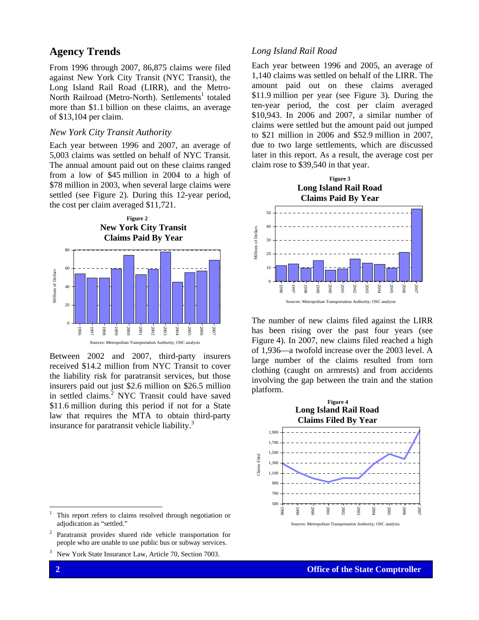### **Agency Trends**

From 1996 through 2007, 86,875 claims were filed against New York City Transit (NYC Transit), the Long Island Rail Road (LIRR), and the Metro-North Railroad (Metro-North). Settlements<sup>1</sup> totaled more than \$1.1 billion on these claims, an average of \$13,104 per claim.

#### *New York City Transit Authority*

Each year between 1996 and 2007, an average of 5,003 claims was settled on behalf of NYC Transit. The annual amount paid out on these claims ranged from a low of \$45 million in 2004 to a high of \$78 million in 2003, when several large claims were settled (see Figure 2). During this 12-year period, the cost per claim averaged \$11,721.



Between 2002 and 2007, third-party insurers received \$14.2 million from NYC Transit to cover the liability risk for paratransit services, but those insurers paid out just \$2.6 million on \$26.5 million in settled claims.<sup>2</sup> NYC Transit could have saved \$11.6 million during this period if not for a State law that requires the MTA to obtain third-party insurance for paratransit vehicle liability.<sup>3</sup>

#### 1 This report refers to claims resolved through negotiation or adjudication as "settled."

2 Paratransit provides shared ride vehicle transportation for people who are unable to use public bus or subway services.

3 New York State Insurance Law, Article 70, Section 7003.

#### *Long Island Rail Road*

Each year between 1996 and 2005, an average of 1,140 claims was settled on behalf of the LIRR. The amount paid out on these claims averaged \$11.9 million per year (see Figure 3). During the ten-year period, the cost per claim averaged \$10,943. In 2006 and 2007, a similar number of claims were settled but the amount paid out jumped to \$21 million in 2006 and \$52.9 million in 2007, due to two large settlements, which are discussed later in this report. As a result, the average cost per claim rose to \$39,540 in that year.



The number of new claims filed against the LIRR has been rising over the past four years (see Figure 4). In 2007, new claims filed reached a high of 1,936—a twofold increase over the 2003 level. A large number of the claims resulted from torn clothing (caught on armrests) and from accidents involving the gap between the train and the station platform.



1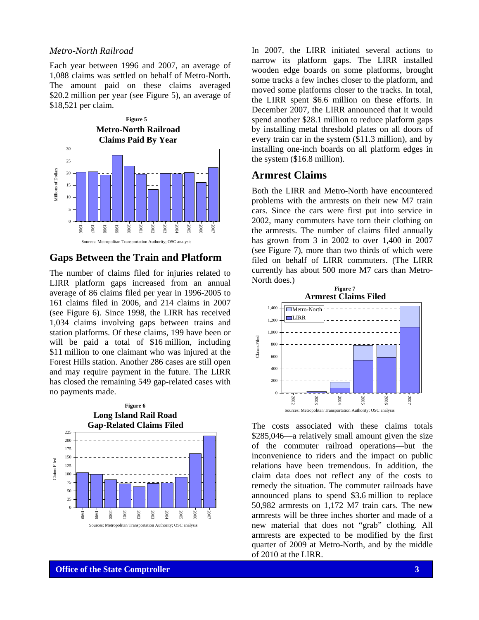#### *Metro-North Railroad*

Each year between 1996 and 2007, an average of 1,088 claims was settled on behalf of Metro-North. The amount paid on these claims averaged \$20.2 million per year (see Figure 5), an average of \$18,521 per claim.



#### **Gaps Between the Train and Platform**

The number of claims filed for injuries related to LIRR platform gaps increased from an annual average of 86 claims filed per year in 1996-2005 to 161 claims filed in 2006, and 214 claims in 2007 (see Figure 6). Since 1998, the LIRR has received 1,034 claims involving gaps between trains and station platforms. Of these claims, 199 have been or will be paid a total of \$16 million, including \$11 million to one claimant who was injured at the Forest Hills station. Another 286 cases are still open and may require payment in the future. The LIRR has closed the remaining 549 gap-related cases with no payments made.



In 2007, the LIRR initiated several actions to narrow its platform gaps. The LIRR installed wooden edge boards on some platforms, brought some tracks a few inches closer to the platform, and moved some platforms closer to the tracks. In total, the LIRR spent \$6.6 million on these efforts. In December 2007, the LIRR announced that it would spend another \$28.1 million to reduce platform gaps by installing metal threshold plates on all doors of every train car in the system (\$11.3 million), and by installing one-inch boards on all platform edges in the system (\$16.8 million).

#### **Armrest Claims**

Both the LIRR and Metro-North have encountered problems with the armrests on their new M7 train cars. Since the cars were first put into service in 2002, many commuters have torn their clothing on the armrests. The number of claims filed annually has grown from 3 in 2002 to over 1,400 in 2007 (see Figure 7), more than two thirds of which were filed on behalf of LIRR commuters. (The LIRR currently has about 500 more M7 cars than Metro-North does.)



The costs associated with these claims totals \$285,046—a relatively small amount given the size of the commuter railroad operations—but the inconvenience to riders and the impact on public relations have been tremendous. In addition, the claim data does not reflect any of the costs to remedy the situation. The commuter railroads have announced plans to spend \$3.6 million to replace 50,982 armrests on 1,172 M7 train cars. The new armrests will be three inches shorter and made of a new material that does not "grab" clothing. All armrests are expected to be modified by the first quarter of 2009 at Metro-North, and by the middle of 2010 at the LIRR.